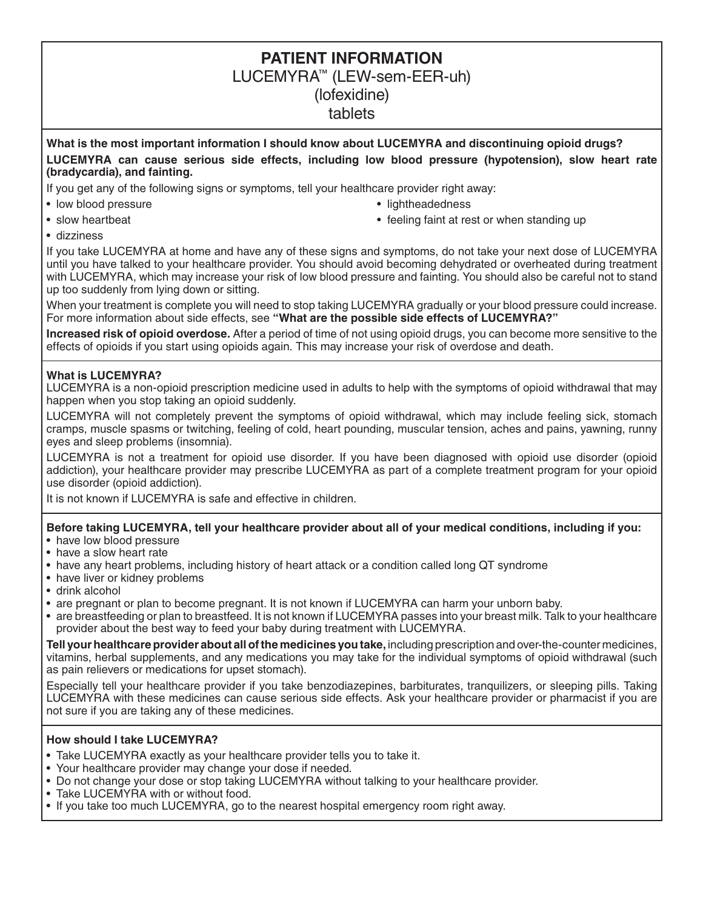# **PATIENT INFORMATION** LUCEMYRA™ (LEW-sem-EER-uh) (lofexidine) tablets

#### **What is the most important information I should know about LUCEMYRA and discontinuing opioid drugs? LUCEMYRA can cause serious side effects, including low blood pressure (hypotension), slow heart rate (bradycardia), and fainting.**

If you get any of the following signs or symptoms, tell your healthcare provider right away:

- low blood pressure lightheadedness
- 
- 
- slow heartbeat **•** feeling faint at rest or when standing up
- dizziness

If you take LUCEMYRA at home and have any of these signs and symptoms, do not take your next dose of LUCEMYRA until you have talked to your healthcare provider. You should avoid becoming dehydrated or overheated during treatment with LUCEMYRA, which may increase your risk of low blood pressure and fainting. You should also be careful not to stand up too suddenly from lying down or sitting.

When your treatment is complete you will need to stop taking LUCEMYRA gradually or your blood pressure could increase. For more information about side effects, see **"What are the possible side effects of LUCEMYRA?"**

**Increased risk of opioid overdose.** After a period of time of not using opioid drugs, you can become more sensitive to the effects of opioids if you start using opioids again. This may increase your risk of overdose and death.

#### **What is LUCEMYRA?**

LUCEMYRA is a non-opioid prescription medicine used in adults to help with the symptoms of opioid withdrawal that may happen when you stop taking an opioid suddenly.

LUCEMYRA will not completely prevent the symptoms of opioid withdrawal, which may include feeling sick, stomach cramps, muscle spasms or twitching, feeling of cold, heart pounding, muscular tension, aches and pains, yawning, runny eyes and sleep problems (insomnia).

LUCEMYRA is not a treatment for opioid use disorder. If you have been diagnosed with opioid use disorder (opioid addiction), your healthcare provider may prescribe LUCEMYRA as part of a complete treatment program for your opioid use disorder (opioid addiction).

It is not known if LUCEMYRA is safe and effective in children.

## **Before taking LUCEMYRA, tell your healthcare provider about all of your medical conditions, including if you:**

- have low blood pressure
- have a slow heart rate
- have any heart problems, including history of heart attack or a condition called long QT syndrome
- have liver or kidney problems
- drink alcohol
- are pregnant or plan to become pregnant. It is not known if LUCEMYRA can harm your unborn baby.
- are breastfeeding or plan to breastfeed. It is not known if LUCEMYRA passes into your breast milk. Talk to your healthcare provider about the best way to feed your baby during treatment with LUCEMYRA.

**Tell your healthcare provider about all of the medicines you take,** including prescription and over-the-counter medicines, vitamins, herbal supplements, and any medications you may take for the individual symptoms of opioid withdrawal (such as pain relievers or medications for upset stomach).

Especially tell your healthcare provider if you take benzodiazepines, barbiturates, tranquilizers, or sleeping pills. Taking LUCEMYRA with these medicines can cause serious side effects. Ask your healthcare provider or pharmacist if you are not sure if you are taking any of these medicines.

#### **How should I take LUCEMYRA?**

- Take LUCEMYRA exactly as your healthcare provider tells you to take it.
- Your healthcare provider may change your dose if needed.
- Do not change your dose or stop taking LUCEMYRA without talking to your healthcare provider.
- Take LUCEMYRA with or without food.
- If you take too much LUCEMYRA, go to the nearest hospital emergency room right away.